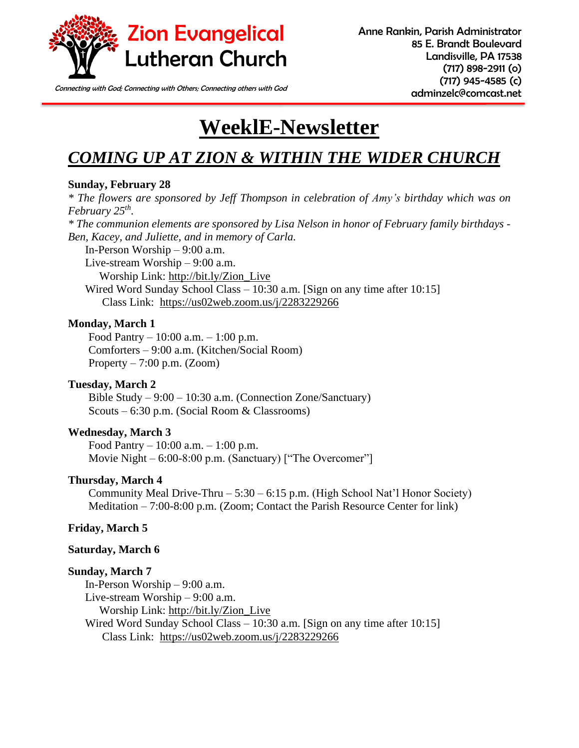

Connecting with God; Connecting with Others; Connecting others with God **connecting of connecting of connecting** 

# **WeeklE-Newsletter**

# *COMING UP AT ZION & WITHIN THE WIDER CHURCH*

#### **Sunday, February 28**

*\* The flowers are sponsored by Jeff Thompson in celebration of Amy's birthday which was on February 25th .*

*\* The communion elements are sponsored by Lisa Nelson in honor of February family birthdays - Ben, Kacey, and Juliette, and in memory of Carla.* 

In-Person Worship – 9:00 a.m.

Live-stream Worship – 9:00 a.m. Worship Link: [http://bit.ly/Zion\\_Live](http://bit.ly/Zion_Live) Wired Word Sunday School Class – 10:30 a.m. [Sign on any time after 10:15] Class Link: <https://us02web.zoom.us/j/2283229266>

#### **Monday, March 1**

Food Pantry – 10:00 a.m. – 1:00 p.m. Comforters – 9:00 a.m. (Kitchen/Social Room) Property  $-7:00$  p.m. (Zoom)

#### **Tuesday, March 2**

Bible Study – 9:00 – 10:30 a.m. (Connection Zone/Sanctuary) Scouts – 6:30 p.m. (Social Room & Classrooms)

#### **Wednesday, March 3**

Food Pantry – 10:00 a.m. – 1:00 p.m. Movie Night – 6:00-8:00 p.m. (Sanctuary) ["The Overcomer"]

#### **Thursday, March 4**

Community Meal Drive-Thru – 5:30 – 6:15 p.m. (High School Nat'l Honor Society) Meditation – 7:00-8:00 p.m. (Zoom; Contact the Parish Resource Center for link)

#### **Friday, March 5**

#### **Saturday, March 6**

#### **Sunday, March 7**

In-Person Worship – 9:00 a.m. Live-stream Worship – 9:00 a.m. Worship Link: [http://bit.ly/Zion\\_Live](http://bit.ly/Zion_Live) Wired Word Sunday School Class – 10:30 a.m. [Sign on any time after 10:15] Class Link: <https://us02web.zoom.us/j/2283229266>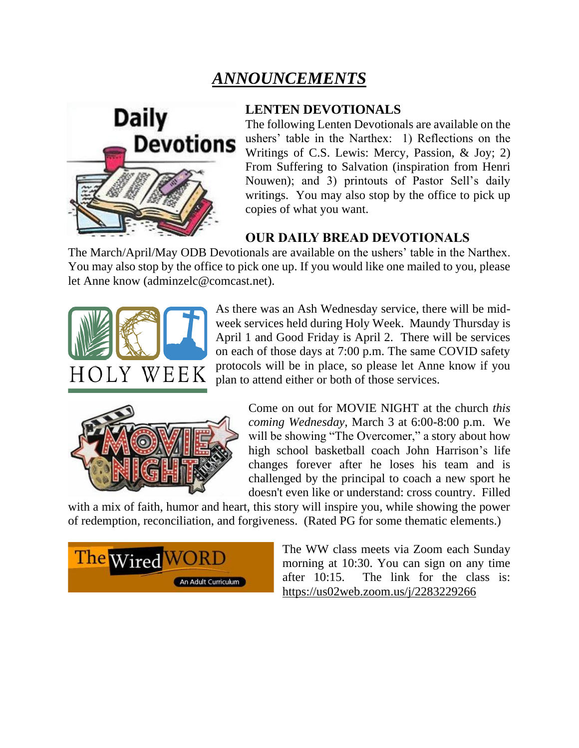# *ANNOUNCEMENTS*



#### **LENTEN DEVOTIONALS**

The following Lenten Devotionals are available on the ushers' table in the Narthex: 1) Reflections on the Writings of C.S. Lewis: Mercy, Passion, & Joy; 2) From Suffering to Salvation (inspiration from Henri Nouwen); and 3) printouts of Pastor Sell's daily writings. You may also stop by the office to pick up copies of what you want.

## **OUR DAILY BREAD DEVOTIONALS**

The March/April/May ODB Devotionals are available on the ushers' table in the Narthex. You may also stop by the office to pick one up. If you would like one mailed to you, please let Anne know (adminzelc@comcast.net).



As there was an Ash Wednesday service, there will be midweek services held during Holy Week. Maundy Thursday is April 1 and Good Friday is April 2. There will be services on each of those days at 7:00 p.m. The same COVID safety protocols will be in place, so please let Anne know if you plan to attend either or both of those services.



Come on out for MOVIE NIGHT at the church *this coming Wednesday*, March 3 at 6:00-8:00 p.m. We will be showing "The Overcomer," a story about how high school basketball coach John Harrison's life changes forever after he loses his team and is challenged by the principal to coach a new sport he doesn't even like or understand: cross country. Filled

with a mix of faith, humor and heart, this story will inspire you, while showing the power of redemption, reconciliation, and forgiveness. (Rated PG for some thematic elements.)



The WW class meets via Zoom each Sunday morning at 10:30. You can sign on any time after 10:15. The link for the class is: <https://us02web.zoom.us/j/2283229266>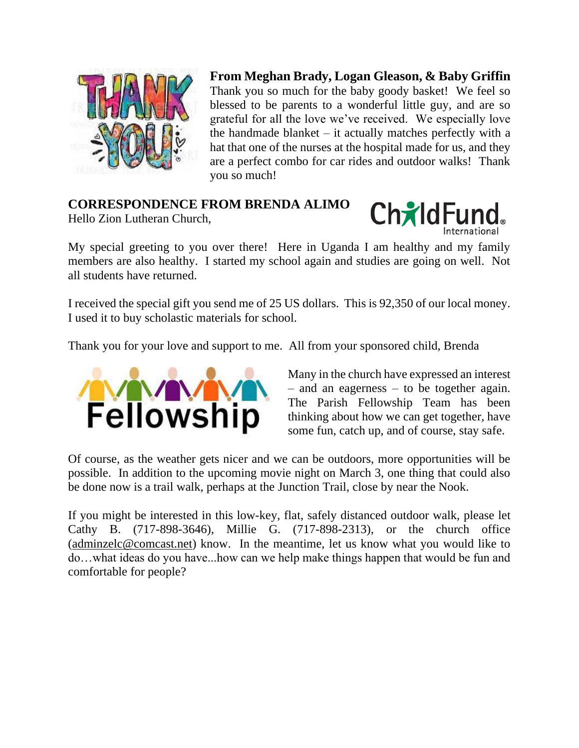

**From Meghan Brady, Logan Gleason, & Baby Griffin** Thank you so much for the baby goody basket! We feel so blessed to be parents to a wonderful little guy, and are so grateful for all the love we've received. We especially love the handmade blanket  $-$  it actually matches perfectly with a hat that one of the nurses at the hospital made for us, and they are a perfect combo for car rides and outdoor walks! Thank you so much!

## **CORRESPONDENCE FROM BRENDA ALIMO**

Hello Zion Lutheran Church,



My special greeting to you over there! Here in Uganda I am healthy and my family members are also healthy. I started my school again and studies are going on well. Not all students have returned.

I received the special gift you send me of 25 US dollars. This is 92,350 of our local money. I used it to buy scholastic materials for school.

Thank you for your love and support to me. All from your sponsored child, Brenda



Many in the church have expressed an interest – and an eagerness – to be together again. The Parish Fellowship Team has been thinking about how we can get together, have some fun, catch up, and of course, stay safe.

Of course, as the weather gets nicer and we can be outdoors, more opportunities will be possible. In addition to the upcoming movie night on March 3, one thing that could also be done now is a trail walk, perhaps at the Junction Trail, close by near the Nook.

If you might be interested in this low-key, flat, safely distanced outdoor walk, please let Cathy B. (717-898-3646), Millie G. (717-898-2313), or the church office [\(adminzelc@comcast.net\)](mailto:adminzelc@comcast.net) know. In the meantime, let us know what you would like to do…what ideas do you have...how can we help make things happen that would be fun and comfortable for people?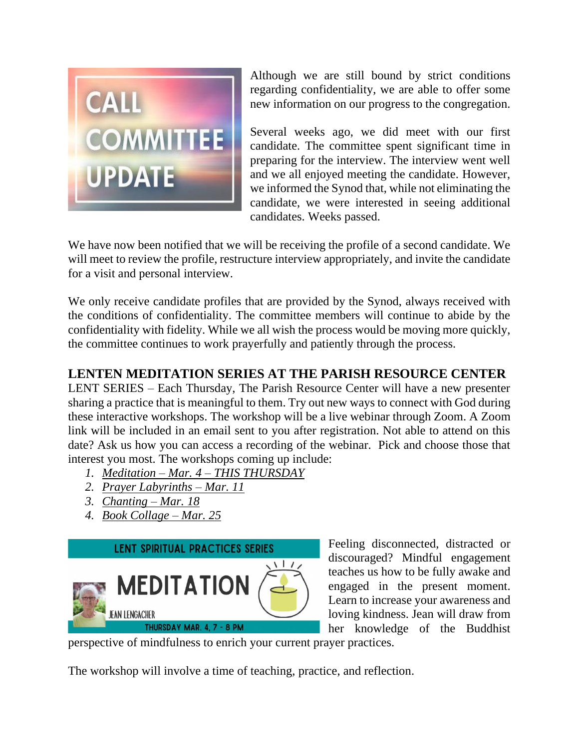

Although we are still bound by strict conditions regarding confidentiality, we are able to offer some new information on our progress to the congregation.

Several weeks ago, we did meet with our first candidate. The committee spent significant time in preparing for the interview. The interview went well and we all enjoyed meeting the candidate. However, we informed the Synod that, while not eliminating the candidate, we were interested in seeing additional candidates. Weeks passed.

We have now been notified that we will be receiving the profile of a second candidate. We will meet to review the profile, restructure interview appropriately, and invite the candidate for a visit and personal interview.

We only receive candidate profiles that are provided by the Synod, always received with the conditions of confidentiality. The committee members will continue to abide by the confidentiality with fidelity. While we all wish the process would be moving more quickly, the committee continues to work prayerfully and patiently through the process.

## **LENTEN MEDITATION SERIES AT THE PARISH RESOURCE CENTER**

LENT SERIES – Each Thursday, The Parish Resource Center will have a new presenter sharing a practice that is meaningful to them. Try out new ways to connect with God during these interactive workshops. The workshop will be a live webinar through Zoom. A Zoom link will be included in an email sent to you after registration. Not able to attend on this date? Ask us how you can access a recording of the webinar. Pick and choose those that interest you most. The workshops coming up include:

- *1. [Meditation –](https://parishresourcecenter.org/events/meditation/) Mar. 4 – THIS THURSDAY*
- *2. [Prayer Labyrinths –](https://parishresourcecenter.org/events/prayer-labyrinth/) Mar. 11*
- *3. [Chanting –](https://parishresourcecenter.org/events/chanting/) Mar. 18*
- *4. [Book Collage –](https://parishresourcecenter.org/events/book-collage/) Mar. 25*



Feeling disconnected, distracted or discouraged? Mindful engagement teaches us how to be fully awake and engaged in the present moment. Learn to increase your awareness and loving kindness. Jean will draw from her knowledge of the Buddhist

perspective of mindfulness to enrich your current prayer practices.

The workshop will involve a time of teaching, practice, and reflection.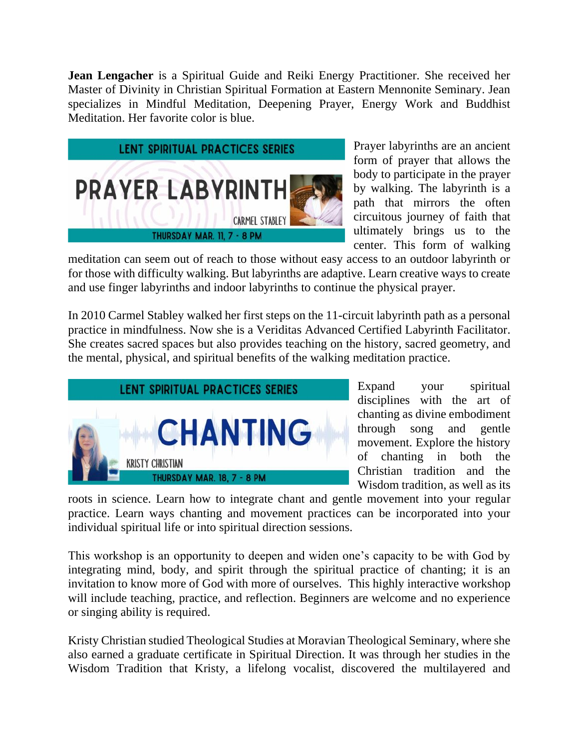**Jean Lengacher** is a Spiritual Guide and Reiki Energy Practitioner. She received her Master of Divinity in Christian Spiritual Formation at Eastern Mennonite Seminary. Jean specializes in Mindful Meditation, Deepening Prayer, Energy Work and Buddhist Meditation. Her favorite color is blue.



Prayer labyrinths are an ancient form of prayer that allows the body to participate in the prayer by walking. The labyrinth is a path that mirrors the often circuitous journey of faith that ultimately brings us to the center. This form of walking

meditation can seem out of reach to those without easy access to an outdoor labyrinth or for those with difficulty walking. But labyrinths are adaptive. Learn creative ways to create and use finger labyrinths and indoor labyrinths to continue the physical prayer.

In 2010 Carmel Stabley walked her first steps on the 11-circuit labyrinth path as a personal practice in mindfulness. Now she is a Veriditas Advanced Certified Labyrinth Facilitator. She creates sacred spaces but also provides teaching on the history, sacred geometry, and the mental, physical, and spiritual benefits of the walking meditation practice.



Expand your spiritual disciplines with the art of chanting as divine embodiment through song and gentle movement. Explore the history of chanting in both the Christian tradition and the Wisdom tradition, as well as its

roots in science. Learn how to integrate chant and gentle movement into your regular practice. Learn ways chanting and movement practices can be incorporated into your individual spiritual life or into spiritual direction sessions.

This workshop is an opportunity to deepen and widen one's capacity to be with God by integrating mind, body, and spirit through the spiritual practice of chanting; it is an invitation to know more of God with more of ourselves. This highly interactive workshop will include teaching, practice, and reflection. Beginners are welcome and no experience or singing ability is required.

Kristy Christian studied Theological Studies at Moravian Theological Seminary, where she also earned a graduate certificate in Spiritual Direction. It was through her studies in the Wisdom Tradition that Kristy, a lifelong vocalist, discovered the multilayered and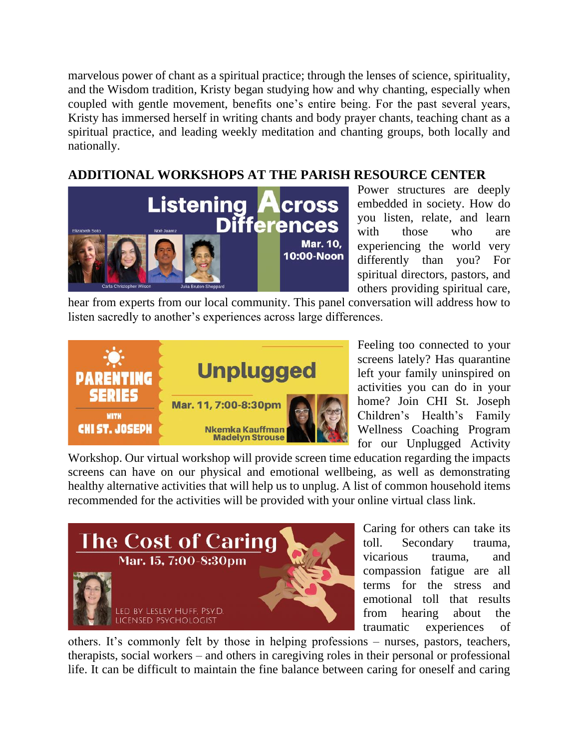marvelous power of chant as a spiritual practice; through the lenses of science, spirituality, and the Wisdom tradition, Kristy began studying how and why chanting, especially when coupled with gentle movement, benefits one's entire being. For the past several years, Kristy has immersed herself in writing chants and body prayer chants, teaching chant as a spiritual practice, and leading weekly meditation and chanting groups, both locally and nationally.

## **ADDITIONAL WORKSHOPS AT THE PARISH RESOURCE CENTER**



Power structures are deeply embedded in society. How do you listen, relate, and learn with those who are experiencing the world very differently than you? For spiritual directors, pastors, and others providing spiritual care,

hear from experts from our local community. This panel conversation will address how to listen sacredly to another's experiences across large differences.



Feeling too connected to your screens lately? Has quarantine left your family uninspired on activities you can do in your home? Join CHI St. Joseph Children's Health's Family Wellness Coaching Program for our Unplugged Activity

Workshop. Our virtual workshop will provide screen time education regarding the impacts screens can have on our physical and emotional wellbeing, as well as demonstrating healthy alternative activities that will help us to unplug. A list of common household items recommended for the activities will be provided with your online virtual class link.



Caring for others can take its toll. Secondary trauma, vicarious trauma, and compassion fatigue are all terms for the stress and emotional toll that results from hearing about the traumatic experiences of

others. It's commonly felt by those in helping professions – nurses, pastors, teachers, therapists, social workers – and others in caregiving roles in their personal or professional life. It can be difficult to maintain the fine balance between caring for oneself and caring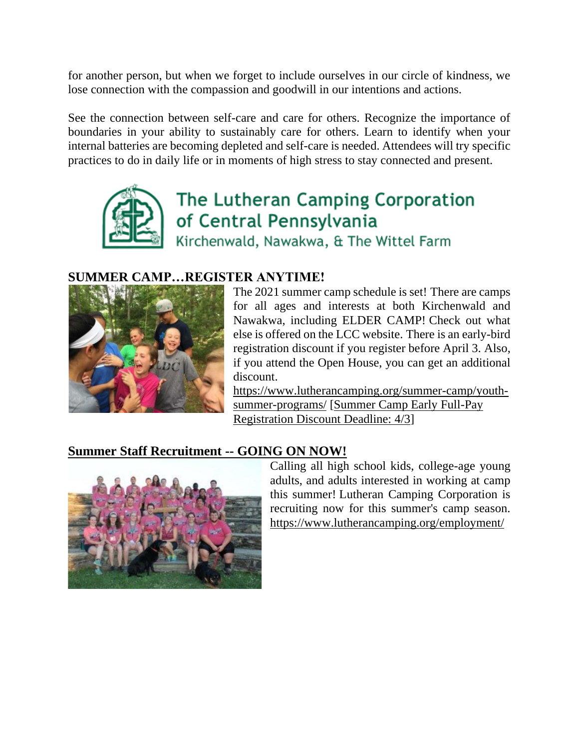for another person, but when we forget to include ourselves in our circle of kindness, we lose connection with the compassion and goodwill in our intentions and actions.

See the connection between self-care and care for others. Recognize the importance of boundaries in your ability to sustainably care for others. Learn to identify when your internal batteries are becoming depleted and self-care is needed. Attendees will try specific practices to do in daily life or in moments of high stress to stay connected and present.



# The Lutheran Camping Corporation of Central Pennsylvania

Kirchenwald, Nawakwa, & The Wittel Farm

### **SUMMER CAMP…REGISTER ANYTIME!**



The 2021 summer camp schedule is set! There are camps for all ages and interests at both Kirchenwald and Nawakwa, including ELDER CAMP! Check out what else is offered on the LCC website. There is an early-bird registration discount if you register before April 3. Also, if you attend the Open House, you can get an additional discount.

[https://www.lutherancamping.org/summer-camp/youth](https://www.lutherancamping.org/summer-camp/youth-summer-programs/)[summer-programs/](https://www.lutherancamping.org/summer-camp/youth-summer-programs/) [\[Summer Camp Early Full-Pay](https://files.constantcontact.com/18c44923001/56106034-00b7-48fe-9db4-64a5369ec461.pdf)  [Registration Discount Deadline: 4/3\]](https://files.constantcontact.com/18c44923001/56106034-00b7-48fe-9db4-64a5369ec461.pdf)

### **[Summer Staff Recruitment --](https://files.constantcontact.com/18c44923001/b53294a7-734d-4200-9cd9-14cff0676018.pdf) GOING ON NOW!**



Calling all high school kids, college-age young adults, and adults interested in working at camp this summer! Lutheran Camping Corporation is recruiting now for this summer's camp season. [https://www.lutherancamping.org/employment/](https://r.xdref.com/?id=10QJjaA3023855&from=annerankin524@gmail.com&to=pkeller@pccucc.org&url=https://www.lutherancamping.org/employment/)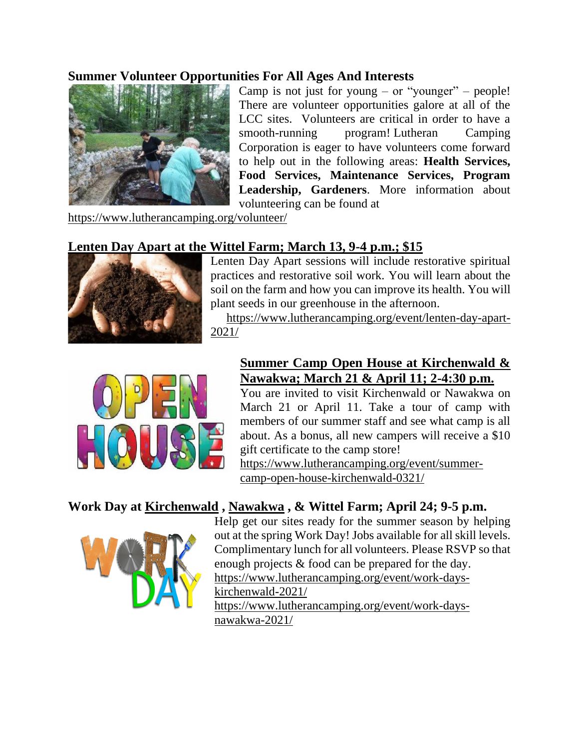#### **Summer Volunteer Opportunities For All Ages And Interests**



Camp is not just for young – or "younger" – people! There are volunteer opportunities galore at all of the LCC sites. Volunteers are critical in order to have a smooth-running program! Lutheran Camping Corporation is eager to have volunteers come forward to help out in the following areas: **Health Services, Food Services, Maintenance Services, Program Leadership, Gardeners**. More information about volunteering can be found at

[https://www.lutherancamping.org/volunteer/](http://r20.rs6.net/tn.jsp?f=001cL5O-XVfA9LRzTqQjpev4HLSZIkbuoD7HP7dbryXbZlv2lqHXKuzvvvJDyk2jxgCd2c_l3TzpDFcSuqS0qjjVd0-SYyZFECdD4x3wA5Is5WNNtWwznVQJPCVyeWvrorUos_pxl6a1Q-RP0UZFpQZU9H5Z_3dmhZzDfRG65n8i52342EgP0mibDqIBqyEUMNKQFhWVAnSVEQnAY_KV2XcU80P89-RHua4bRzfLvovwdCNTUDWGJeO8kfI_O6GSkQ52dtHTtW1bx-4cR_AxzslSlUNhYy2q6uUHoAVsclgOTg9KA3eNQEEqgFIVx7KHQg-3gwrZBit5xE=&c=Ej7RCnMbRGwnSoKW414hOHrUY4Rw3-CHy4TGscnP-Bw3hXPMY_ZlhQ==&ch=ZeJ5PtxsyYTEskFwei7Pu6iJwOonxMuhRGNu6TTJVgZGpmuncCNZcA==)

### **[Lenten Day Apart at the Wittel Farm; March 13, 9-4 p.m.; \\$15](https://www.lutherancamping.org/event/lenten-day-apart-2021/)**



Lenten Day Apart sessions will include restorative spiritual practices and restorative soil work. You will learn about the soil on the farm and how you can improve its health. You will plant seeds in our greenhouse in the afternoon.

[https://www.lutherancamping.org/event/lenten-day-apart-](https://r.xdref.com/?id=10QJjaA3023855&from=annerankin524@gmail.com&to=pkeller@pccucc.org&url=https://www.lutherancamping.org/event/lenten-day-apart-2021/)[2021/](https://r.xdref.com/?id=10QJjaA3023855&from=annerankin524@gmail.com&to=pkeller@pccucc.org&url=https://www.lutherancamping.org/event/lenten-day-apart-2021/)



### **[Summer Camp Open House at Kirchenwald &](https://www.lutherancamping.org/event/summer-camp-open-house-kirchenwald-0321/)  [Nawakwa; March 21 & April 11; 2-4:30 p.m.](https://www.lutherancamping.org/event/summer-camp-open-house-kirchenwald-0321/)**

You are invited to visit Kirchenwald or Nawakwa on March 21 or April 11. Take a tour of camp with members of our summer staff and see what camp is all about. As a bonus, all new campers will receive a \$10 gift certificate to the camp store!

[https://www.lutherancamping.org/event/summer](https://r.xdref.com/?id=10QJjaA3023855&from=annerankin524@gmail.com&to=pkeller@pccucc.org&url=https://www.lutherancamping.org/event/summer-camp-open-house-kirchenwald-0321/)[camp-open-house-kirchenwald-0321/](https://r.xdref.com/?id=10QJjaA3023855&from=annerankin524@gmail.com&to=pkeller@pccucc.org&url=https://www.lutherancamping.org/event/summer-camp-open-house-kirchenwald-0321/)

### **Work Day at [Kirchenwald](https://www.lutherancamping.org/event/work-days-kirchenwald-2021/) , [Nawakwa](https://www.lutherancamping.org/event/work-days-nawakwa-2021/) , & Wittel Farm; April 24; 9-5 p.m.**



Help get our sites ready for the summer season by helping out at the spring Work Day! Jobs available for all skill levels. Complimentary lunch for all volunteers. Please RSVP so that enough projects & food can be prepared for the day. [https://www.lutherancamping.org/event/work-days](https://www.lutherancamping.org/event/work-days-kirchenwald-2021/)[kirchenwald-2021/](https://www.lutherancamping.org/event/work-days-kirchenwald-2021/) [https://www.lutherancamping.org/event/work-days](https://www.lutherancamping.org/event/work-days-%20%20%20%20%20%20%20%20%20%20%20%20%20%20%20%20%20%20%20%20%20%20%20%20%20%20%20%20%20%20%20%20%20%20%20%20%20%20%20%20%20%20%20%20%20%20%20%20%20%20%20%20%20%20%20%20%20%20%20%20%20%20%20%20%20%20%20%20%20%20%20%20%20%20%20%20%20%20%20%20%20%20%20%20%20%20%20%20%20%20%20%20nawakwa-2021/)[nawakwa-2021/](https://www.lutherancamping.org/event/work-days-%20%20%20%20%20%20%20%20%20%20%20%20%20%20%20%20%20%20%20%20%20%20%20%20%20%20%20%20%20%20%20%20%20%20%20%20%20%20%20%20%20%20%20%20%20%20%20%20%20%20%20%20%20%20%20%20%20%20%20%20%20%20%20%20%20%20%20%20%20%20%20%20%20%20%20%20%20%20%20%20%20%20%20%20%20%20%20%20%20%20%20%20nawakwa-2021/)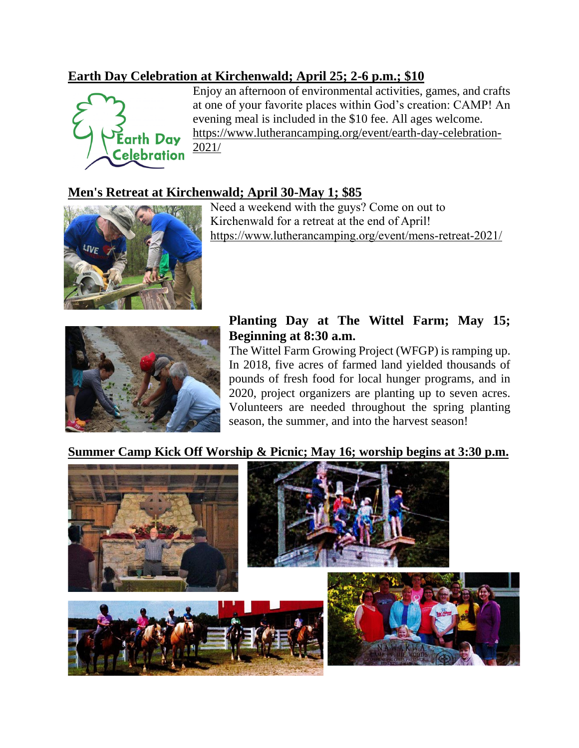### **[Earth Day Celebration at Kirchenwald; April 25; 2-6 p.m.; \\$10](https://files.constantcontact.com/18c44923001/7691fe1e-8c21-4802-92cb-be76e847145d.pdf)**



Enjoy an afternoon of environmental activities, games, and crafts at one of your favorite places within God's creation: CAMP! An evening meal is included in the \$10 fee. All ages welcome. [https://www.lutherancamping.org/event/earth-day-celebration-](https://www.lutherancamping.org/event/earth-day-celebration-2021/)[2021/](https://www.lutherancamping.org/event/earth-day-celebration-2021/)

## **[Men's Retreat at Kirchenwald; April 30-May 1; \\$85](https://files.constantcontact.com/18c44923001/626f5d51-beeb-4dbd-958d-01abc6c17e37.pdf)**



Need a weekend with the guys? Come on out to Kirchenwald for a retreat at the end of April! [https://www.lutherancamping.org/event/mens-retreat-2021/](https://r.xdref.com/?id=10QJjaA3023855&from=annerankin524@gmail.com&to=pkeller@pccucc.org&url=https://www.lutherancamping.org/event/mens-retreat-2021/)



## **Planting Day at The Wittel Farm; May 15; Beginning at 8:30 a.m.**

The Wittel Farm Growing Project (WFGP) is ramping up. In 2018, five acres of farmed land yielded thousands of pounds of fresh food for local hunger programs, and in 2020, project organizers are planting up to seven acres. Volunteers are needed throughout the spring planting season, the summer, and into the harvest season!

#### **[Summer Camp Kick Off Worship & Picnic; May 16; worship begins](https://files.constantcontact.com/18c44923001/47a4cde1-c43a-4640-8ecf-25197bbe7910.pdf) at 3:30 p.m.**

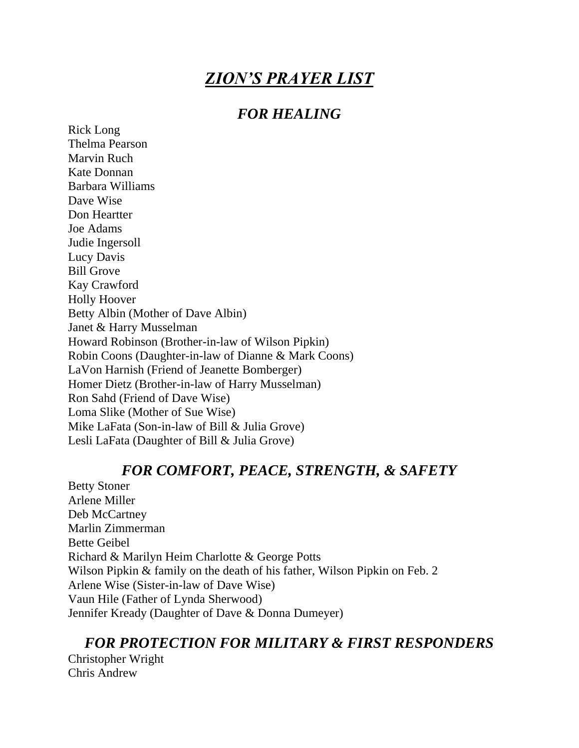# *ZION'S PRAYER LIST*

### *FOR HEALING*

Rick Long Thelma Pearson Marvin Ruch Kate Donnan Barbara Williams Dave Wise Don Heartter Joe Adams Judie Ingersoll Lucy Davis Bill Grove Kay Crawford Holly Hoover Betty Albin (Mother of Dave Albin) Janet & Harry Musselman Howard Robinson (Brother-in-law of Wilson Pipkin) Robin Coons (Daughter-in-law of Dianne & Mark Coons) LaVon Harnish (Friend of Jeanette Bomberger) Homer Dietz (Brother-in-law of Harry Musselman) Ron Sahd (Friend of Dave Wise) Loma Slike (Mother of Sue Wise) Mike LaFata (Son-in-law of Bill & Julia Grove) Lesli LaFata (Daughter of Bill & Julia Grove)

### *FOR COMFORT, PEACE, STRENGTH, & SAFETY*

Betty Stoner Arlene Miller Deb McCartney Marlin Zimmerman Bette Geibel Richard & Marilyn Heim Charlotte & George Potts Wilson Pipkin & family on the death of his father, Wilson Pipkin on Feb. 2 Arlene Wise (Sister-in-law of Dave Wise) Vaun Hile (Father of Lynda Sherwood) Jennifer Kready (Daughter of Dave & Donna Dumeyer)

## *FOR PROTECTION FOR MILITARY & FIRST RESPONDERS*

Christopher Wright Chris Andrew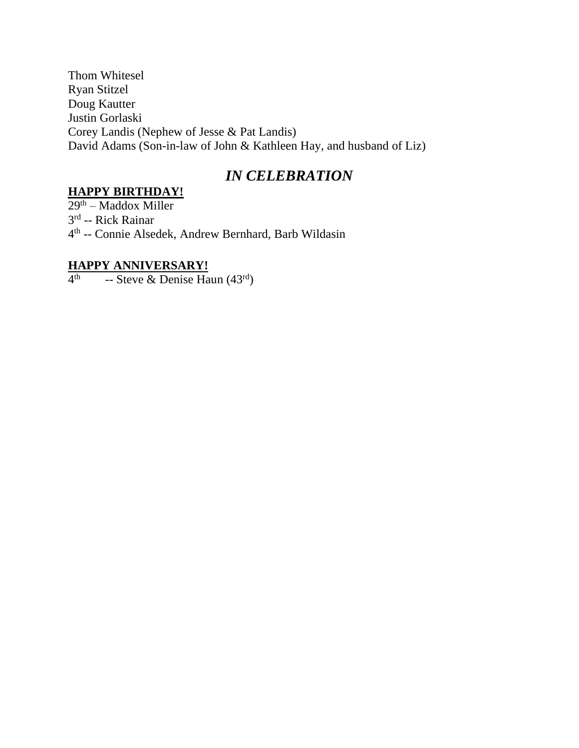Thom Whitesel Ryan Stitzel Doug Kautter Justin Gorlaski Corey Landis (Nephew of Jesse & Pat Landis) David Adams (Son-in-law of John & Kathleen Hay, and husband of Liz)

## *IN CELEBRATION*

#### **HAPPY BIRTHDAY!**

29th – Maddox Miller 3<sup>rd</sup> -- Rick Rainar 4 th -- Connie Alsedek, Andrew Bernhard, Barb Wildasin

#### **HAPPY ANNIVERSARY!**

 $4<sup>th</sup>$  -- Steve & Denise Haun (43<sup>rd</sup>)